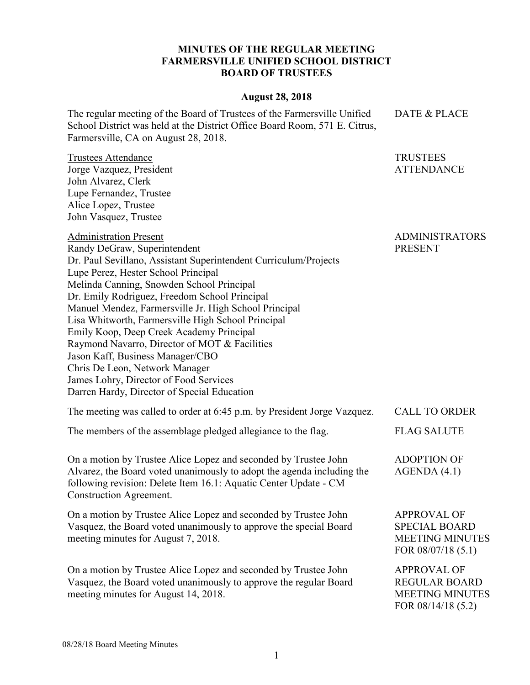## **MINUTES OF THE REGULAR MEETING FARMERSVILLE UNIFIED SCHOOL DISTRICT BOARD OF TRUSTEES**

## **August 28, 2018**

The regular meeting of the Board of Trustees of the Farmersville Unified School District was held at the District Office Board Room, 571 E. Citrus, Farmersville, CA on August 28, 2018. DATE & PLACE

Trustees Attendance Jorge Vazquez, President John Alvarez, Clerk Lupe Fernandez, Trustee Alice Lopez, Trustee John Vasquez, Trustee

Administration Present

ADMINISTRATORS PRESENT

TRUSTEES ATTENDANCE

Randy DeGraw, Superintendent Dr. Paul Sevillano, Assistant Superintendent Curriculum/Projects Lupe Perez, Hester School Principal Melinda Canning, Snowden School Principal Dr. Emily Rodriguez, Freedom School Principal Manuel Mendez, Farmersville Jr. High School Principal Lisa Whitworth, Farmersville High School Principal Emily Koop, Deep Creek Academy Principal Raymond Navarro, Director of MOT & Facilities Jason Kaff, Business Manager/CBO Chris De Leon, Network Manager James Lohry, Director of Food Services Darren Hardy, Director of Special Education

| The meeting was called to order at 6:45 p.m. by President Jorge Vazquez. | <b>CALL TO ORDER</b> |
|--------------------------------------------------------------------------|----------------------|
| The members of the assemblage pledged allegiance to the flag.            | <b>FLAG SALUTE</b>   |

On a motion by Trustee Alice Lopez and seconded by Trustee John Alvarez, the Board voted unanimously to adopt the agenda including the following revision: Delete Item 16.1: Aquatic Center Update - CM Construction Agreement.

On a motion by Trustee Alice Lopez and seconded by Trustee John Vasquez, the Board voted unanimously to approve the special Board meeting minutes for August 7, 2018.

On a motion by Trustee Alice Lopez and seconded by Trustee John Vasquez, the Board voted unanimously to approve the regular Board meeting minutes for August 14, 2018.

AGENDA (4.1)

ADOPTION OF

APPROVAL OF SPECIAL BOARD MEETING MINUTES FOR 08/07/18 (5.1)

APPROVAL OF REGULAR BOARD MEETING MINUTES FOR 08/14/18 (5.2)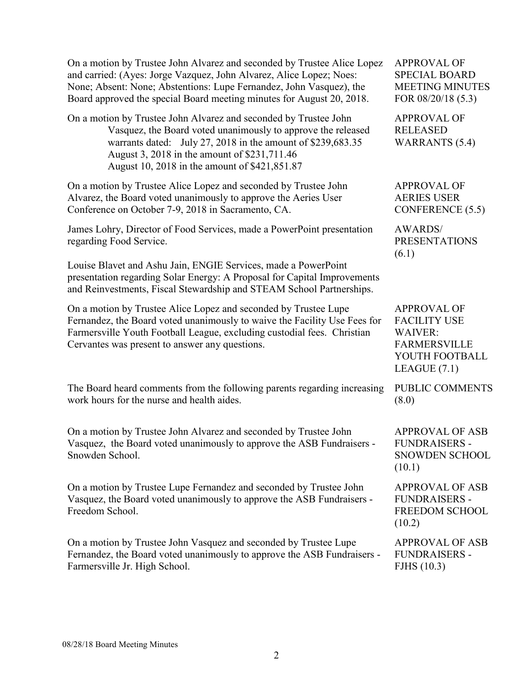| On a motion by Trustee John Alvarez and seconded by Trustee Alice Lopez<br>and carried: (Ayes: Jorge Vazquez, John Alvarez, Alice Lopez; Noes:<br>None; Absent: None; Abstentions: Lupe Fernandez, John Vasquez), the<br>Board approved the special Board meeting minutes for August 20, 2018.   | <b>APPROVAL OF</b><br><b>SPECIAL BOARD</b><br><b>MEETING MINUTES</b><br>FOR 08/20/18 (5.3)                             |
|--------------------------------------------------------------------------------------------------------------------------------------------------------------------------------------------------------------------------------------------------------------------------------------------------|------------------------------------------------------------------------------------------------------------------------|
| On a motion by Trustee John Alvarez and seconded by Trustee John<br>Vasquez, the Board voted unanimously to approve the released<br>warrants dated: July 27, 2018 in the amount of \$239,683.35<br>August 3, 2018 in the amount of \$231,711.46<br>August 10, 2018 in the amount of \$421,851.87 | <b>APPROVAL OF</b><br><b>RELEASED</b><br><b>WARRANTS</b> (5.4)                                                         |
| On a motion by Trustee Alice Lopez and seconded by Trustee John<br>Alvarez, the Board voted unanimously to approve the Aeries User<br>Conference on October 7-9, 2018 in Sacramento, CA.                                                                                                         | <b>APPROVAL OF</b><br><b>AERIES USER</b><br>CONFERENCE (5.5)                                                           |
| James Lohry, Director of Food Services, made a PowerPoint presentation<br>regarding Food Service.                                                                                                                                                                                                | <b>AWARDS/</b><br><b>PRESENTATIONS</b><br>(6.1)                                                                        |
| Louise Blavet and Ashu Jain, ENGIE Services, made a PowerPoint<br>presentation regarding Solar Energy: A Proposal for Capital Improvements<br>and Reinvestments, Fiscal Stewardship and STEAM School Partnerships.                                                                               |                                                                                                                        |
| On a motion by Trustee Alice Lopez and seconded by Trustee Lupe<br>Fernandez, the Board voted unanimously to waive the Facility Use Fees for<br>Farmersville Youth Football League, excluding custodial fees. Christian<br>Cervantes was present to answer any questions.                        | <b>APPROVAL OF</b><br><b>FACILITY USE</b><br><b>WAIVER:</b><br><b>FARMERSVILLE</b><br>YOUTH FOOTBALL<br>LEAGUE $(7.1)$ |
| The Board heard comments from the following parents regarding increasing<br>work hours for the nurse and health aides.                                                                                                                                                                           | PUBLIC COMMENTS<br>(8.0)                                                                                               |
| On a motion by Trustee John Alvarez and seconded by Trustee John<br>Vasquez, the Board voted unanimously to approve the ASB Fundraisers -<br>Snowden School.                                                                                                                                     | <b>APPROVAL OF ASB</b><br><b>FUNDRAISERS -</b><br>SNOWDEN SCHOOL<br>(10.1)                                             |
| On a motion by Trustee Lupe Fernandez and seconded by Trustee John<br>Vasquez, the Board voted unanimously to approve the ASB Fundraisers -<br>Freedom School.                                                                                                                                   | <b>APPROVAL OF ASB</b><br><b>FUNDRAISERS -</b><br>FREEDOM SCHOOL<br>(10.2)                                             |
| On a motion by Trustee John Vasquez and seconded by Trustee Lupe<br>Fernandez, the Board voted unanimously to approve the ASB Fundraisers -<br>Farmersville Jr. High School.                                                                                                                     | <b>APPROVAL OF ASB</b><br><b>FUNDRAISERS -</b><br>FJHS $(10.3)$                                                        |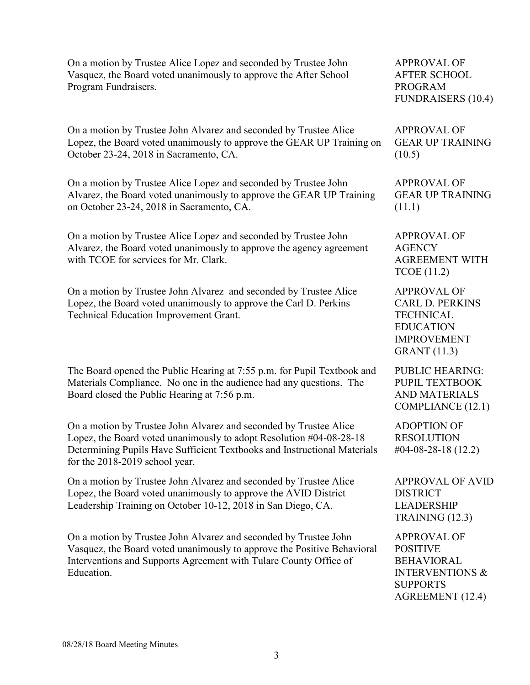On a motion by Trustee Alice Lopez and seconded by Trustee John Vasquez, the Board voted unanimously to approve the After School Program Fundraisers.

On a motion by Trustee John Alvarez and seconded by Trustee Alice Lopez, the Board voted unanimously to approve the GEAR UP Training on October 23-24, 2018 in Sacramento, CA.

On a motion by Trustee Alice Lopez and seconded by Trustee John Alvarez, the Board voted unanimously to approve the GEAR UP Training on October 23-24, 2018 in Sacramento, CA.

On a motion by Trustee Alice Lopez and seconded by Trustee John Alvarez, the Board voted unanimously to approve the agency agreement with TCOE for services for Mr. Clark.

On a motion by Trustee John Alvarez and seconded by Trustee Alice Lopez, the Board voted unanimously to approve the Carl D. Perkins Technical Education Improvement Grant.

The Board opened the Public Hearing at 7:55 p.m. for Pupil Textbook and Materials Compliance. No one in the audience had any questions. The Board closed the Public Hearing at 7:56 p.m.

On a motion by Trustee John Alvarez and seconded by Trustee Alice Lopez, the Board voted unanimously to adopt Resolution #04-08-28-18 Determining Pupils Have Sufficient Textbooks and Instructional Materials for the 2018-2019 school year.

On a motion by Trustee John Alvarez and seconded by Trustee Alice Lopez, the Board voted unanimously to approve the AVID District Leadership Training on October 10-12, 2018 in San Diego, CA.

On a motion by Trustee John Alvarez and seconded by Trustee John Vasquez, the Board voted unanimously to approve the Positive Behavioral Interventions and Supports Agreement with Tulare County Office of Education.

APPROVAL OF AFTER SCHOOL PROGRAM FUNDRAISERS (10.4)

APPROVAL OF GEAR UP TRAINING  $(10.5)$ 

APPROVAL OF GEAR UP TRAINING (11.1)

APPROVAL OF **AGENCY** AGREEMENT WITH TCOE (11.2)

APPROVAL OF CARL D. PERKINS **TECHNICAL** EDUCATION IMPROVEMENT GRANT (11.3)

PUBLIC HEARING: PUPIL TEXTBOOK AND MATERIALS COMPLIANCE (12.1)

ADOPTION OF RESOLUTION #04-08-28-18 (12.2)

APPROVAL OF AVID DISTRICT LEADERSHIP TRAINING (12.3)

APPROVAL OF POSITIVE BEHAVIORAL INTERVENTIONS & SUPPORTS AGREEMENT (12.4)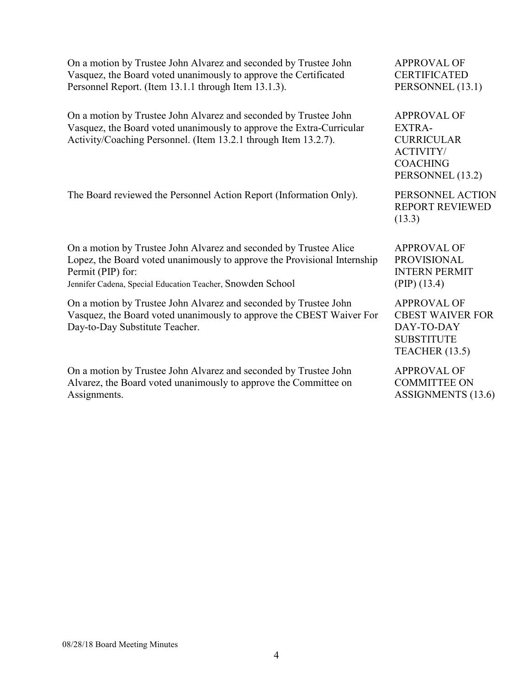| On a motion by Trustee John Alvarez and seconded by Trustee John                                                                                                           | <b>APPROVAL OF</b>                                                                                 |
|----------------------------------------------------------------------------------------------------------------------------------------------------------------------------|----------------------------------------------------------------------------------------------------|
| Vasquez, the Board voted unanimously to approve the Certificated                                                                                                           | <b>CERTIFICATED</b>                                                                                |
| Personnel Report. (Item 13.1.1 through Item 13.1.3).                                                                                                                       | PERSONNEL (13.1)                                                                                   |
| On a motion by Trustee John Alvarez and seconded by Trustee John                                                                                                           | <b>APPROVAL OF</b>                                                                                 |
| Vasquez, the Board voted unanimously to approve the Extra-Curricular                                                                                                       | <b>EXTRA-</b>                                                                                      |
| Activity/Coaching Personnel. (Item 13.2.1 through Item 13.2.7).                                                                                                            | <b>CURRICULAR</b>                                                                                  |
|                                                                                                                                                                            | <b>ACTIVITY/</b><br><b>COACHING</b><br>PERSONNEL (13.2)                                            |
| The Board reviewed the Personnel Action Report (Information Only).                                                                                                         | PERSONNEL ACTION<br><b>REPORT REVIEWED</b><br>(13.3)                                               |
| On a motion by Trustee John Alvarez and seconded by Trustee Alice                                                                                                          | <b>APPROVAL OF</b>                                                                                 |
| Lopez, the Board voted unanimously to approve the Provisional Internship                                                                                                   | <b>PROVISIONAL</b>                                                                                 |
| Permit (PIP) for:                                                                                                                                                          | <b>INTERN PERMIT</b>                                                                               |
| Jennifer Cadena, Special Education Teacher, Snowden School                                                                                                                 | $(PIP)$ (13.4)                                                                                     |
| On a motion by Trustee John Alvarez and seconded by Trustee John<br>Vasquez, the Board voted unanimously to approve the CBEST Waiver For<br>Day-to-Day Substitute Teacher. | <b>APPROVAL OF</b><br><b>CBEST WAIVER FOR</b><br>DAY-TO-DAY<br><b>SUBSTITUTE</b><br>TEACHER (13.5) |
| On a motion by Trustee John Alvarez and seconded by Trustee John                                                                                                           | <b>APPROVAL OF</b>                                                                                 |
| Alvarez, the Board voted unanimously to approve the Committee on                                                                                                           | <b>COMMITTEE ON</b>                                                                                |
| Assignments.                                                                                                                                                               | ASSIGNMENTS (13.6)                                                                                 |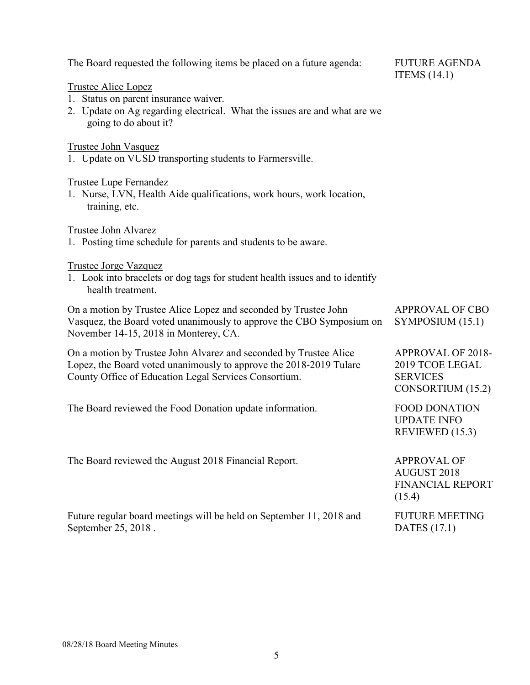| The Board requested the following items be placed on a future agenda:                                                                                                                            | <b>FUTURE AGENDA</b><br>ITEMS $(14.1)$                                              |
|--------------------------------------------------------------------------------------------------------------------------------------------------------------------------------------------------|-------------------------------------------------------------------------------------|
| <b>Trustee Alice Lopez</b><br>1. Status on parent insurance waiver.<br>2. Update on Ag regarding electrical. What the issues are and what are we<br>going to do about it?                        |                                                                                     |
| <b>Trustee John Vasquez</b><br>1. Update on VUSD transporting students to Farmersville.                                                                                                          |                                                                                     |
| <b>Trustee Lupe Fernandez</b><br>1. Nurse, LVN, Health Aide qualifications, work hours, work location,<br>training, etc.                                                                         |                                                                                     |
| Trustee John Alvarez<br>1. Posting time schedule for parents and students to be aware.                                                                                                           |                                                                                     |
| <b>Trustee Jorge Vazquez</b><br>1. Look into bracelets or dog tags for student health issues and to identify<br>health treatment.                                                                |                                                                                     |
| On a motion by Trustee Alice Lopez and seconded by Trustee John<br>Vasquez, the Board voted unanimously to approve the CBO Symposium on<br>November 14-15, 2018 in Monterey, CA.                 | <b>APPROVAL OF CBO</b><br>SYMPOSIUM (15.1)                                          |
| On a motion by Trustee John Alvarez and seconded by Trustee Alice<br>Lopez, the Board voted unanimously to approve the 2018-2019 Tulare<br>County Office of Education Legal Services Consortium. | <b>APPROVAL OF 2018-</b><br>2019 TCOE LEGAL<br><b>SERVICES</b><br>CONSORTIUM (15.2) |
| The Board reviewed the Food Donation update information.                                                                                                                                         | <b>FOOD DONATION</b><br><b>UPDATE INFO</b><br>REVIEWED (15.3)                       |
| The Board reviewed the August 2018 Financial Report.                                                                                                                                             | <b>APPROVAL OF</b><br><b>AUGUST 2018</b><br><b>FINANCIAL REPORT</b><br>(15.4)       |
| Future regular board meetings will be held on September 11, 2018 and<br>September 25, 2018.                                                                                                      | <b>FUTURE MEETING</b><br><b>DATES</b> (17.1)                                        |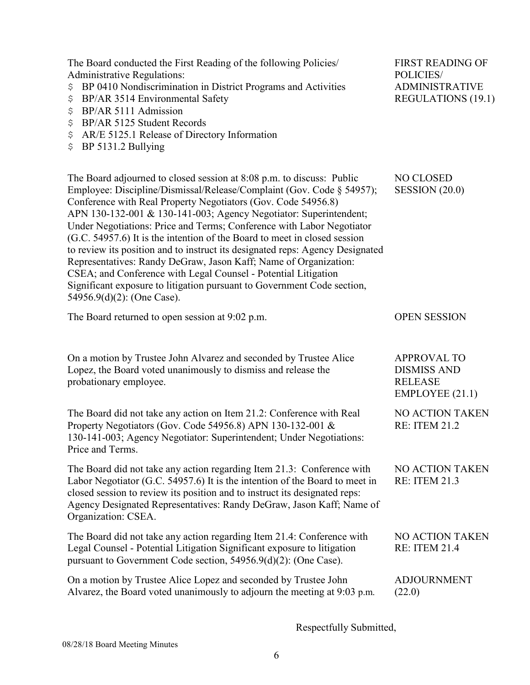| The Board conducted the First Reading of the following Policies/<br><b>Administrative Regulations:</b><br>BP 0410 Nondiscrimination in District Programs and Activities<br>\$<br>BP/AR 3514 Environmental Safety<br>\$<br>BP/AR 5111 Admission<br>\$<br>BP/AR 5125 Student Records<br>\$<br>AR/E 5125.1 Release of Directory Information<br>\$<br>BP 5131.2 Bullying<br>\$                                                                                                                                                                                                                                                                                                                                                                                                 | <b>FIRST READING OF</b><br>POLICIES/<br><b>ADMINISTRATIVE</b><br><b>REGULATIONS (19.1)</b> |
|----------------------------------------------------------------------------------------------------------------------------------------------------------------------------------------------------------------------------------------------------------------------------------------------------------------------------------------------------------------------------------------------------------------------------------------------------------------------------------------------------------------------------------------------------------------------------------------------------------------------------------------------------------------------------------------------------------------------------------------------------------------------------|--------------------------------------------------------------------------------------------|
| The Board adjourned to closed session at 8:08 p.m. to discuss: Public<br>Employee: Discipline/Dismissal/Release/Complaint (Gov. Code § 54957);<br>Conference with Real Property Negotiators (Gov. Code 54956.8)<br>APN 130-132-001 & 130-141-003; Agency Negotiator: Superintendent;<br>Under Negotiations: Price and Terms; Conference with Labor Negotiator<br>(G.C. 54957.6) It is the intention of the Board to meet in closed session<br>to review its position and to instruct its designated reps: Agency Designated<br>Representatives: Randy DeGraw, Jason Kaff; Name of Organization:<br>CSEA; and Conference with Legal Counsel - Potential Litigation<br>Significant exposure to litigation pursuant to Government Code section,<br>54956.9(d)(2): (One Case). | NO CLOSED<br>SESSION (20.0)                                                                |
| The Board returned to open session at 9:02 p.m.                                                                                                                                                                                                                                                                                                                                                                                                                                                                                                                                                                                                                                                                                                                            | <b>OPEN SESSION</b>                                                                        |
| On a motion by Trustee John Alvarez and seconded by Trustee Alice<br>Lopez, the Board voted unanimously to dismiss and release the<br>probationary employee.                                                                                                                                                                                                                                                                                                                                                                                                                                                                                                                                                                                                               | <b>APPROVAL TO</b><br><b>DISMISS AND</b><br><b>RELEASE</b><br>EMPLOYEE (21.1)              |
| The Board did not take any action on Item 21.2: Conference with Real<br>Property Negotiators (Gov. Code 54956.8) APN 130-132-001 &<br>130-141-003; Agency Negotiator: Superintendent; Under Negotiations:<br>Price and Terms.                                                                                                                                                                                                                                                                                                                                                                                                                                                                                                                                              | NO ACTION TAKEN<br><b>RE: ITEM 21.2</b>                                                    |
| The Board did not take any action regarding Item 21.3: Conference with<br>Labor Negotiator (G.C. 54957.6) It is the intention of the Board to meet in<br>closed session to review its position and to instruct its designated reps:<br>Agency Designated Representatives: Randy DeGraw, Jason Kaff; Name of<br>Organization: CSEA.                                                                                                                                                                                                                                                                                                                                                                                                                                         | NO ACTION TAKEN<br><b>RE: ITEM 21.3</b>                                                    |
| The Board did not take any action regarding Item 21.4: Conference with<br>Legal Counsel - Potential Litigation Significant exposure to litigation<br>pursuant to Government Code section, 54956.9(d)(2): (One Case).                                                                                                                                                                                                                                                                                                                                                                                                                                                                                                                                                       | <b>NO ACTION TAKEN</b><br><b>RE: ITEM 21.4</b>                                             |
| On a motion by Trustee Alice Lopez and seconded by Trustee John<br>Alvarez, the Board voted unanimously to adjourn the meeting at 9:03 p.m.                                                                                                                                                                                                                                                                                                                                                                                                                                                                                                                                                                                                                                | <b>ADJOURNMENT</b><br>(22.0)                                                               |

Respectfully Submitted,